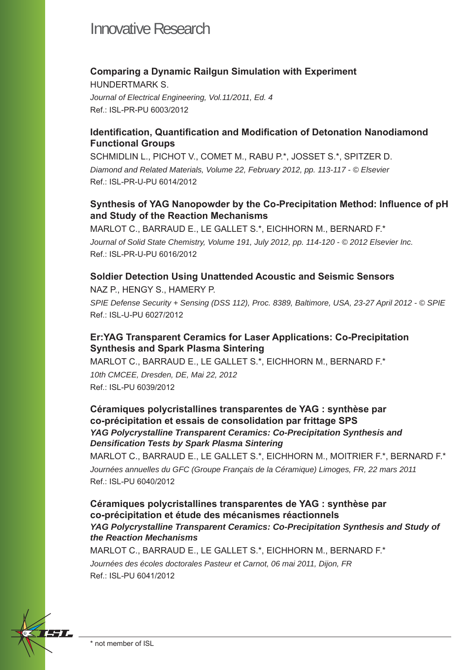#### **Comparing a Dynamic Railgun Simulation with Experiment**

HUNDERTMARK S. *Journal of Electrical Engineering, Vol.11/2011, Ed. 4* Ref.: ISL-PR-PU 6003/2012

#### **Identification, Quantification and Modification of Detonation Nanodiamond Functional Groups**

SCHMIDLIN L., PICHOT V., COMET M., RABU P.\*, JOSSET S.\*, SPITZER D. *Diamond and Related Materials, Volume 22, February 2012, pp. 113-117 - © Elsevier* Ref.: ISL-PR-U-PU 6014/2012

### Synthesis of YAG Nanopowder by the Co-Precipitation Method: Influence of pH **and Study of the Reaction Mechanisms**

MARLOT C., BARRAUD E., LE GALLET S.\*, EICHHORN M., BERNARD F.\* *Journal of Solid State Chemistry, Volume 191, July 2012, pp. 114-120 - © 2012 Elsevier Inc.* Ref.: ISL-PR-U-PU 6016/2012

#### **Soldier Detection Using Unattended Acoustic and Seismic Sensors**

NAZ P., HENGY S., HAMERY P. *SPIE Defense Security + Sensing (DSS 112), Proc. 8389, Baltimore, USA, 23-27 April 2012 - © SPIE* Ref.: ISL-U-PU 6027/2012

## **Er:YAG Transparent Ceramics for Laser Applications: Co-Precipitation Synthesis and Spark Plasma Sintering**

MARLOT C., BARRAUD E., LE GALLET S.\*, EICHHORN M., BERNARD F.\* *10th CMCEE, Dresden, DE, Mai 22, 2012* Ref.: ISL-PU 6039/2012

#### **Céramiques polycristallines transparentes de YAG : synthèse par co-précipitation et essais de consolidation par frittage SPS** *YAG Polycrystalline Transparent Ceramics: Co-Precipitation Synthesis and Densifi cation Tests by Spark Plasma Sintering*

MARLOT C., BARRAUD E., LE GALLET S.\*, EICHHORN M., MOITRIER F.\*, BERNARD F.\* *Journées annuelles du GFC (Groupe Français de la Céramique) Limoges, FR, 22 mars 2011* Ref.: ISL-PU 6040/2012

**Céramiques polycristallines transparentes de YAG : synthèse par co-précipitation et étude des mécanismes réactionnels** *YAG Polycrystalline Transparent Ceramics: Co-Precipitation Synthesis and Study of the Reaction Mechanisms*

MARLOT C., BARRAUD E., LE GALLET S.\*, EICHHORN M., BERNARD F.\* *Journées des écoles doctorales Pasteur et Carnot, 06 mai 2011, Dijon, FR* Ref.: ISL-PU 6041/2012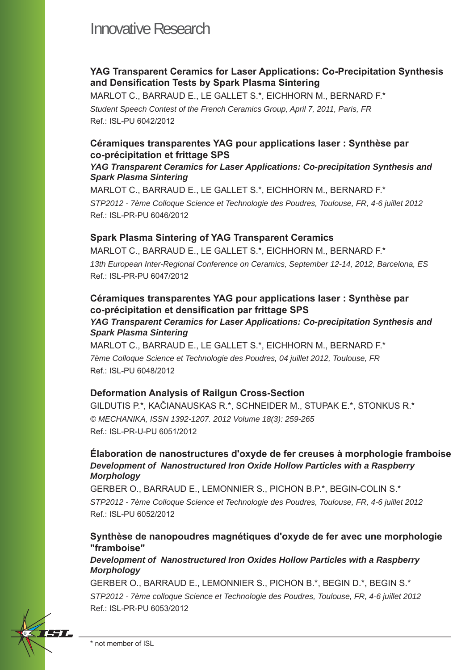## **YAG Transparent Ceramics for Laser Applications: Co-Precipitation Synthesis**  and Densification Tests by Spark Plasma Sintering

MARLOT C., BARRAUD E., LE GALLET S.\*, EICHHORN M., BERNARD F.\* *Student Speech Contest of the French Ceramics Group, April 7, 2011, Paris, FR* Ref.: ISL-PU 6042/2012

#### **Céramiques transparentes YAG pour applications laser : Synthèse par co-précipitation et frittage SPS**

#### *YAG Transparent Ceramics for Laser Applications: Co-precipitation Synthesis and Spark Plasma Sintering*

MARLOT C., BARRAUD E., LE GALLET S.\*, EICHHORN M., BERNARD F.\* *STP2012 - 7ème Colloque Science et Technologie des Poudres, Toulouse, FR, 4-6 juillet 2012* Ref.: ISL-PR-PU 6046/2012

#### **Spark Plasma Sintering of YAG Transparent Ceramics**

MARLOT C., BARRAUD E., LE GALLET S.\*, EICHHORN M., BERNARD F.\* *13th European Inter-Regional Conference on Ceramics, September 12-14, 2012, Barcelona, ES* Ref.: ISL-PR-PU 6047/2012

#### **Céramiques transparentes YAG pour applications laser : Synthèse par**  co-précipitation et densification par frittage SPS

#### *YAG Transparent Ceramics for Laser Applications: Co-precipitation Synthesis and Spark Plasma Sintering*

MARLOT C., BARRAUD E., LE GALLET S.\*, EICHHORN M., BERNARD F.\* *7ème Colloque Science et Technologie des Poudres, 04 juillet 2012, Toulouse, FR* Ref.: ISL-PU 6048/2012

#### **Deformation Analysis of Railgun Cross-Section**

GILDUTIS P.\*, KAČIANAUSKAS R.\*, SCHNEIDER M., STUPAK E.\*, STONKUS R.\* *© MECHANIKA, ISSN 1392-1207. 2012 Volume 18(3): 259-265* Ref.: ISL-PR-U-PU 6051/2012

#### **Élaboration de nanostructures d'oxyde de fer creuses à morphologie framboise** *Development of Nanostructured Iron Oxide Hollow Particles with a Raspberry Morphology*

GERBER O., BARRAUD E., LEMONNIER S., PICHON B.P.\*, BEGIN-COLIN S.\* *STP2012 - 7ème Colloque Science et Technologie des Poudres, Toulouse, FR, 4-6 juillet 2012* Ref.: ISL-PU 6052/2012

#### **Synthèse de nanopoudres magnétiques d'oxyde de fer avec une morphologie "framboise"**

#### *Development of Nanostructured Iron Oxides Hollow Particles with a Raspberry Morphology*

GERBER O., BARRAUD E., LEMONNIER S., PICHON B.\*, BEGIN D.\*, BEGIN S.\* *STP2012 - 7ème colloque Science et Technologie des Poudres, Toulouse, FR, 4-6 juillet 2012*  Ref.: ISL-PR-PU 6053/2012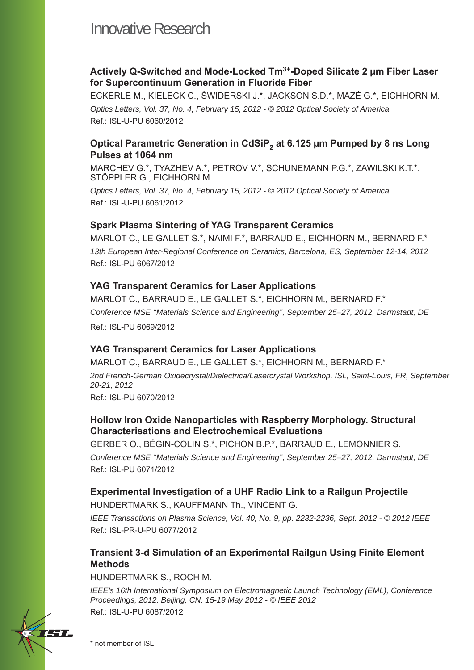## **Actively Q-Switched and Mode-Locked Tm3+-Doped Silicate 2 μm Fiber Laser for Supercontinuum Generation in Fluoride Fiber**

ECKERLE M., KIELECK C., ŚWIDERSKI J.\*, JACKSON S.D.\*, MAZÉ G.\*, EICHHORN M. *Optics Letters, Vol. 37, No. 4, February 15, 2012 - © 2012 Optical Society of America* Ref.: ISL-U-PU 6060/2012

## **Optical Parametric Generation in CdSiP<sub>2</sub> at 6.125 μm Pumped by 8 ns Long Pulses at 1064 nm**

MARCHEV G.\*, TYAZHEV A.\*, PETROV V.\*, SCHUNEMANN P.G.\*, ZAWILSKI K.T.\*, STÖPPLER G., EICHHORN M.

*Optics Letters, Vol. 37, No. 4, February 15, 2012 - © 2012 Optical Society of America* Ref.: ISL-U-PU 6061/2012

#### **Spark Plasma Sintering of YAG Transparent Ceramics**

MARLOT C., LE GALLET S.\*, NAIMI F.\*, BARRAUD E., EICHHORN M., BERNARD F.\* *13th European Inter-Regional Conference on Ceramics, Barcelona, ES, September 12-14, 2012* Ref.: ISL-PU 6067/2012

#### **YAG Transparent Ceramics for Laser Applications**

MARLOT C., BARRAUD E., LE GALLET S.\*, EICHHORN M., BERNARD F.\* *Conference MSE ''Materials Science and Engineering'', September 25–27, 2012, Darmstadt, DE* Ref.: ISL-PU 6069/2012

#### **YAG Transparent Ceramics for Laser Applications**

MARLOT C., BARRAUD E., LE GALLET S.\*, EICHHORN M., BERNARD F.\*

*2nd French-German Oxidecrystal/Dielectrica/Lasercrystal Workshop, ISL, Saint-Louis, FR, September 20-21, 2012*

Ref.: ISL-PU 6070/2012

#### **Hollow Iron Oxide Nanoparticles with Raspberry Morphology. Structural Characterisations and Electrochemical Evaluations**

GERBER O., BÉGIN-COLIN S.\*, PICHON B.P.\*, BARRAUD E., LEMONNIER S. *Conference MSE ''Materials Science and Engineering'', September 25–27, 2012, Darmstadt, DE* Ref.: ISL-PU 6071/2012

## **Experimental Investigation of a UHF Radio Link to a Railgun Projectile**

HUNDERTMARK S., KAUFFMANN Th., VINCENT G.

*IEEE Transactions on Plasma Science, Vol. 40, No. 9, pp. 2232-2236, Sept. 2012 - © 2012 IEEE* Ref.: ISL-PR-U-PU 6077/2012

#### **Transient 3-d Simulation of an Experimental Railgun Using Finite Element Methods**

HUNDERTMARK S., ROCH M.

*IEEE's 16th International Symposium on Electromagnetic Launch Technology (EML), Conference Proceedings, 2012, Beijing, CN, 15-19 May 2012 - © IEEE 2012* Ref.: ISL-U-PU 6087/2012

EST P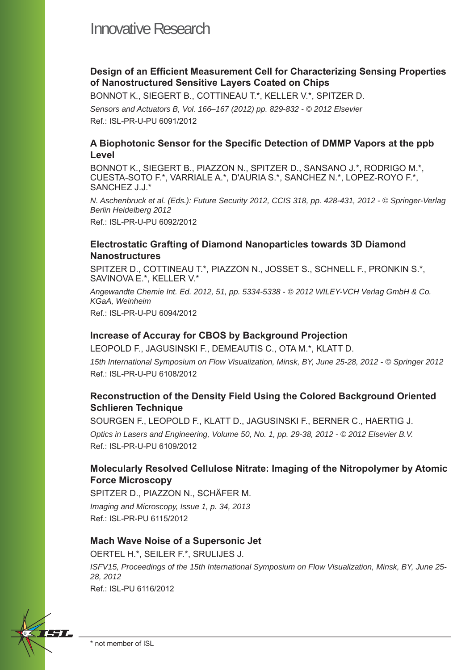### **Design of an Efficient Measurement Cell for Characterizing Sensing Properties of Nanostructured Sensitive Layers Coated on Chips**

BONNOT K., SIEGERT B., COTTINEAU T.\*, KELLER V.\*, SPITZER D. *Sensors and Actuators B, Vol. 166–167 (2012) pp. 829-832 - © 2012 Elsevier* Ref.: ISL-PR-U-PU 6091/2012

#### A Biophotonic Sensor for the Specific Detection of DMMP Vapors at the ppb **Level**

BONNOT K., SIEGERT B., PIAZZON N., SPITZER D., SANSANO J.\*, RODRIGO M.\*, CUESTA-SOTO F.\*, VARRIALE A.\*, D'AURIA S.\*, SANCHEZ N.\*, LOPEZ-ROYO F.\*, SANCHEZ J.J.\*

*N. Aschenbruck et al. (Eds.): Future Security 2012, CCIS 318, pp. 428-431, 2012 - © Springer-Verlag Berlin Heidelberg 2012*

Ref.: ISL-PR-U-PU 6092/2012

#### **Electrostatic Grafting of Diamond Nanoparticles towards 3D Diamond Nanostructures**

SPITZER D., COTTINEAU T.\*, PIAZZON N., JOSSET S., SCHNELL F., PRONKIN S.\*, SAVINOVA E.\*, KELLER V.\*

*Angewandte Chemie Int. Ed. 2012, 51, pp. 5334-5338 - © 2012 WILEY-VCH Verlag GmbH & Co. KGaA, Weinheim* Ref.: ISL-PR-U-PU 6094/2012

#### **Increase of Accuray for CBOS by Background Projection**

LEOPOLD F., JAGUSINSKI F., DEMEAUTIS C., OTA M.\*, KLATT D. *15th International Symposium on Flow Visualization, Minsk, BY, June 25-28, 2012 - © Springer 2012* Ref.: ISL-PR-U-PU 6108/2012

## **Reconstruction of the Density Field Using the Colored Background Oriented Schlieren Technique**

SOURGEN F., LEOPOLD F., KLATT D., JAGUSINSKI F., BERNER C., HAERTIG J. *Optics in Lasers and Engineering, Volume 50, No. 1, pp. 29-38, 2012 - © 2012 Elsevier B.V.*  Ref.: ISL-PR-U-PU 6109/2012

## **Molecularly Resolved Cellulose Nitrate: Imaging of the Nitropolymer by Atomic Force Microscopy**

SPITZER D., PIAZZON N., SCHÄFER M. *Imaging and Microscopy, Issue 1, p. 34, 2013* Ref.: ISL-PR-PU 6115/2012

#### **Mach Wave Noise of a Supersonic Jet**

OERTEL H.\*, SEILER F.\*, SRULIJES J. *ISFV15, Proceedings of the 15th International Symposium on Flow Visualization, Minsk, BY, June 25- 28, 2012* Ref.: ISL-PU 6116/2012

\* not member of ISL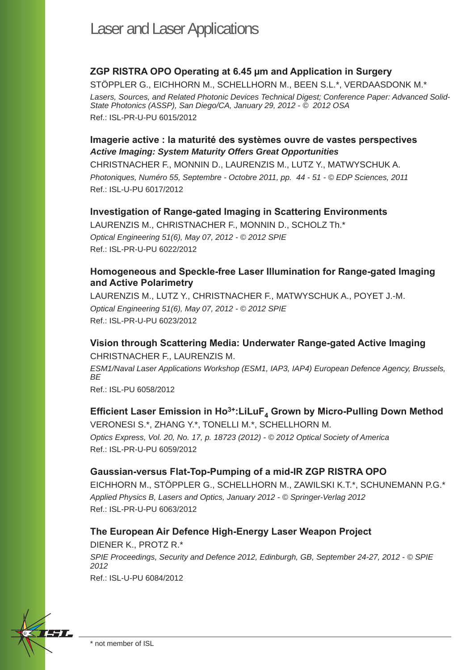## **ZGP RISTRA OPO Operating at 6.45 μm and Application in Surgery**

STÖPPLER G., EICHHORN M., SCHELLHORN M., BEEN S.L.\*, VERDAASDONK M.\* *Lasers, Sources, and Related Photonic Devices Technical Digest; Conference Paper: Advanced Solid-State Photonics (ASSP), San Diego/CA, January 29, 2012 - © 2012 OSA* Ref.: ISL-PR-U-PU 6015/2012

## **Imagerie active : la maturité des systèmes ouvre de vastes perspectives** *Active Imaging: System Maturity Offers Great Opportunities*

CHRISTNACHER F., MONNIN D., LAURENZIS M., LUTZ Y., MATWYSCHUK A. *Photoniques, Numéro 55, Septembre - Octobre 2011, pp. 44 - 51 - © EDP Sciences, 2011* Ref.: ISL-U-PU 6017/2012

#### **Investigation of Range-gated Imaging in Scattering Environments**

LAURENZIS M., CHRISTNACHER F., MONNIN D., SCHOLZ Th.\* *Optical Engineering 51(6), May 07, 2012 - © 2012 SPIE* Ref.: ISL-PR-U-PU 6022/2012

### **Homogeneous and Speckle-free Laser Illumination for Range-gated Imaging and Active Polarimetry**

LAURENZIS M., LUTZ Y., CHRISTNACHER F., MATWYSCHUK A., POYET J.-M. *Optical Engineering 51(6), May 07, 2012 - © 2012 SPIE* Ref.: ISL-PR-U-PU 6023/2012

#### **Vision through Scattering Media: Underwater Range-gated Active Imaging** CHRISTNACHER F., LAURENZIS M.

*ESM1/Naval Laser Applications Workshop (ESM1, IAP3, IAP4) European Defence Agency, Brussels, BE*

Ref.: ISL-PU 6058/2012

#### **Efficient Laser Emission in Ho<sup>3+</sup>:LiLuF, Grown by Micro-Pulling Down Method**

VERONESI S.\*, ZHANG Y.\*, TONELLI M.\*, SCHELLHORN M. *Optics Express, Vol. 20, No. 17, p. 18723 (2012) - © 2012 Optical Society of America* Ref.: ISL-PR-U-PU 6059/2012

#### **Gaussian-versus Flat-Top-Pumping of a mid-IR ZGP RISTRA OPO**

EICHHORN M., STÖPPLER G., SCHELLHORN M., ZAWILSKI K.T.\*, SCHUNEMANN P.G.\* *Applied Physics B, Lasers and Optics, January 2012 - © Springer-Verlag 2012* Ref.: ISL-PR-U-PU 6063/2012

#### **The European Air Defence High-Energy Laser Weapon Project**

DIENER K., PROTZ R.\* *SPIE Proceedings, Security and Defence 2012, Edinburgh, GB, September 24-27, 2012 - © SPIE 2012* Ref.: ISL-U-PU 6084/2012

77 T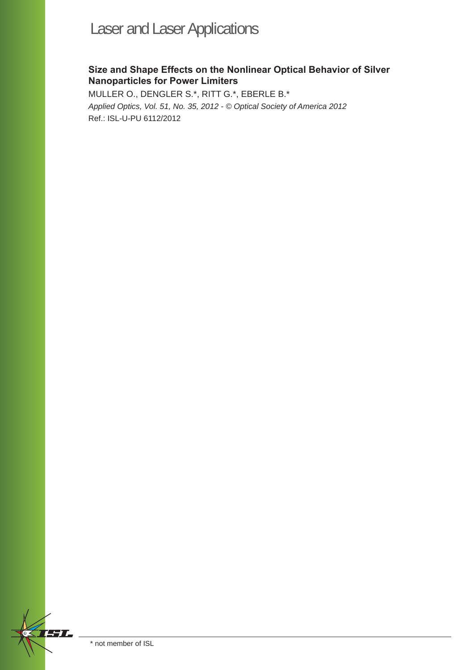# Laser and Laser Applications

## **Size and Shape Effects on the Nonlinear Optical Behavior of Silver Nanoparticles for Power Limiters**

MULLER O., DENGLER S.\*, RITT G.\*, EBERLE B.\* *Applied Optics, Vol. 51, No. 35, 2012 - © Optical Society of America 2012* Ref.: ISL-U-PU 6112/2012

FT L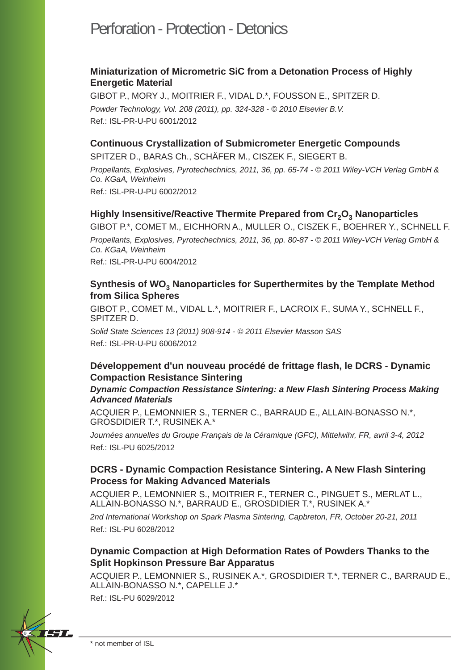## Perforation - Protection - Detonics

#### **Miniaturization of Micrometric SiC from a Detonation Process of Highly Energetic Material**

GIBOT P., MORY J., MOITRIER F., VIDAL D.\*, FOUSSON E., SPITZER D. *Powder Technology, Vol. 208 (2011), pp. 324-328 - © 2010 Elsevier B.V.* Ref.: ISL-PR-U-PU 6001/2012

#### **Continuous Crystallization of Submicrometer Energetic Compounds**

SPITZER D., BARAS Ch., SCHÄFER M., CISZEK F., SIEGERT B. *Propellants, Explosives, Pyrotechechnics, 2011, 36, pp. 65-74 - © 2011 Wiley-VCH Verlag GmbH & Co. KGaA, Weinheim* Ref.: ISL-PR-U-PU 6002/2012

#### **Highly Insensitive/Reactive Thermite Prepared from Cr<sub>2</sub>O<sub>3</sub> Nanoparticles**

GIBOT P.\*, COMET M., EICHHORN A., MULLER O., CISZEK F., BOEHRER Y., SCHNELL F. *Propellants, Explosives, Pyrotechechnics, 2011, 36, pp. 80-87 - © 2011 Wiley-VCH Verlag GmbH & Co. KGaA, Weinheim*

Ref.: ISL-PR-U-PU 6004/2012

#### **Synthesis of WO<sub>3</sub> Nanoparticles for Superthermites by the Template Method from Silica Spheres**

GIBOT P., COMET M., VIDAL L.\*, MOITRIER F., LACROIX F., SUMA Y., SCHNELL F., SPITZER D.

*Solid State Sciences 13 (2011) 908-914 - © 2011 Elsevier Masson SAS* Ref.: ISL-PR-U-PU 6006/2012

#### **Développement d'un nouveau procédé de frittage fl ash, le DCRS - Dynamic Compaction Resistance Sintering**

#### *Dynamic Compaction Ressistance Sintering: a New Flash Sintering Process Making Advanced Materials*

ACQUIER P., LEMONNIER S., TERNER C., BARRAUD E., ALLAIN-BONASSO N.\*, GROSDIDIER T.\*, RUSINEK A.\*

*Journées annuelles du Groupe Français de la Céramique (GFC), Mittelwihr, FR, avril 3-4, 2012* Ref.: ISL-PU 6025/2012

#### **DCRS - Dynamic Compaction Resistance Sintering. A New Flash Sintering Process for Making Advanced Materials**

ACQUIER P., LEMONNIER S., MOITRIER F., TERNER C., PINGUET S., MERLAT L., ALLAIN-BONASSO N.\*, BARRAUD E., GROSDIDIER T.\*, RUSINEK A.\*

*2nd International Workshop on Spark Plasma Sintering, Capbreton, FR, October 20-21, 2011* Ref.: ISL-PU 6028/2012

#### **Dynamic Compaction at High Deformation Rates of Powders Thanks to the Split Hopkinson Pressure Bar Apparatus**

ACQUIER P., LEMONNIER S., RUSINEK A.\*, GROSDIDIER T.\*, TERNER C., BARRAUD E., ALLAIN-BONASSO N.\*, CAPELLE J.\*

Ref.: ISL-PU 6029/2012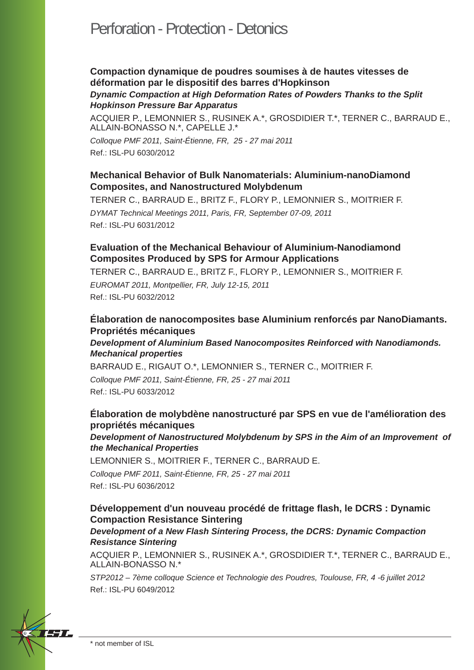## Perforation - Protection - Detonics

#### **Compaction dynamique de poudres soumises à de hautes vitesses de déformation par le dispositif des barres d'Hopkinson** *Dynamic Compaction at High Deformation Rates of Powders Thanks to the Split Hopkinson Pressure Bar Apparatus*

ACQUIER P., LEMONNIER S., RUSINEK A.\*, GROSDIDIER T.\*, TERNER C., BARRAUD E., ALLAIN-BONASSO N.\*, CAPELLE J.\*

*Colloque PMF 2011, Saint-Étienne, FR, 25 - 27 mai 2011* Ref.: ISL-PU 6030/2012

### **Mechanical Behavior of Bulk Nanomaterials: Aluminium-nanoDiamond Composites, and Nanostructured Molybdenum**

TERNER C., BARRAUD E., BRITZ F., FLORY P., LEMONNIER S., MOITRIER F. *DYMAT Technical Meetings 2011, Paris, FR, September 07-09, 2011* Ref.: ISL-PU 6031/2012

#### **Evaluation of the Mechanical Behaviour of Aluminium-Nanodiamond Composites Produced by SPS for Armour Applications**

TERNER C., BARRAUD E., BRITZ F., FLORY P., LEMONNIER S., MOITRIER F.

*EUROMAT 2011, Montpellier, FR, July 12-15, 2011* Ref.: ISL-PU 6032/2012

## **Élaboration de nanocomposites base Aluminium renforcés par NanoDiamants. Propriétés mécaniques**

#### *Development of Aluminium Based Nanocomposites Reinforced with Nanodiamonds. Mechanical properties*

BARRAUD E., RIGAUT O.\*, LEMONNIER S., TERNER C., MOITRIER F.

*Colloque PMF 2011, Saint-Étienne, FR, 25 - 27 mai 2011* Ref.: ISL-PU 6033/2012

## **Élaboration de molybdène nanostructuré par SPS en vue de l'amélioration des propriétés mécaniques**

*Development of Nanostructured Molybdenum by SPS in the Aim of an Improvement of the Mechanical Properties*

LEMONNIER S., MOITRIER F., TERNER C., BARRAUD E.

*Colloque PMF 2011, Saint-Étienne, FR, 25 - 27 mai 2011* Ref.: ISL-PU 6036/2012

## **Développement d'un nouveau procédé de frittage fl ash, le DCRS : Dynamic Compaction Resistance Sintering**

#### *Development of a New Flash Sintering Process, the DCRS: Dynamic Compaction Resistance Sintering*

ACQUIER P., LEMONNIER S., RUSINEK A.\*, GROSDIDIER T.\*, TERNER C., BARRAUD E., ALLAIN-BONASSO N.\*

*STP2012 – 7ème colloque Science et Technologie des Poudres, Toulouse, FR, 4 -6 juillet 2012* Ref.: ISL-PU 6049/2012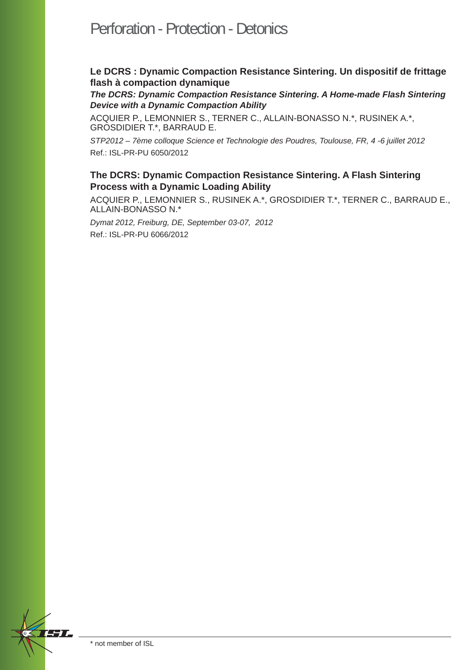## Perforation - Protection - Detonics

### **Le DCRS : Dynamic Compaction Resistance Sintering. Un dispositif de frittage fl ash à compaction dynamique**

*The DCRS: Dynamic Compaction Resistance Sintering. A Home-made Flash Sintering Device with a Dynamic Compaction Ability*

ACQUIER P., LEMONNIER S., TERNER C., ALLAIN-BONASSO N.\*, RUSINEK A.\*, GROSDIDIER T.\*, BARRAUD E.

*STP2012 – 7ème colloque Science et Technologie des Poudres, Toulouse, FR, 4 -6 juillet 2012* Ref.: ISL-PR-PU 6050/2012

#### **The DCRS: Dynamic Compaction Resistance Sintering. A Flash Sintering Process with a Dynamic Loading Ability**

ACQUIER P., LEMONNIER S., RUSINEK A.\*, GROSDIDIER T.\*, TERNER C., BARRAUD E., ALLAIN-BONASSO N.\*

*Dymat 2012, Freiburg, DE, September 03-07, 2012* Ref.: ISL-PR-PU 6066/2012

EST L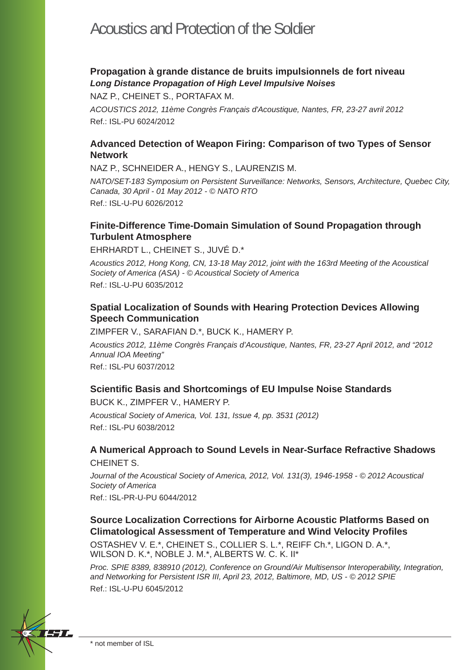## Acoustics and Protection of the Soldier

## **Propagation à grande distance de bruits impulsionnels de fort niveau** *Long Distance Propagation of High Level Impulsive Noises*

NAZ P., CHEINET S., PORTAFAX M.

*ACOUSTICS 2012, 11ème Congrès Français d'Acoustique, Nantes, FR, 23-27 avril 2012* Ref.: ISL-PU 6024/2012

## **Advanced Detection of Weapon Firing: Comparison of two Types of Sensor Network**

NAZ P., SCHNEIDER A., HENGY S., LAURENZIS M.

*NATO/SET-183 Symposium on Persistent Surveillance: Networks, Sensors, Architecture, Quebec City, Canada, 30 April - 01 May 2012 - © NATO RTO* Ref.: ISL-U-PU 6026/2012

## **Finite-Difference Time-Domain Simulation of Sound Propagation through Turbulent Atmosphere**

EHRHARDT L., CHEINET S., JUVÉ D.\*

*Acoustics 2012, Hong Kong, CN, 13-18 May 2012, joint with the 163rd Meeting of the Acoustical Society of America (ASA) - © Acoustical Society of America* Ref.: ISL-U-PU 6035/2012

## **Spatial Localization of Sounds with Hearing Protection Devices Allowing Speech Communication**

ZIMPFER V., SARAFIAN D.\*, BUCK K., HAMERY P.

*Acoustics 2012, 11ème Congrès Français d'Acoustique, Nantes, FR, 23-27 April 2012, and "2012 Annual IOA Meeting"* Ref.: ISL-PU 6037/2012

#### **Scientifi c Basis and Shortcomings of EU Impulse Noise Standards**

BUCK K., ZIMPFER V., HAMERY P.

*Acoustical Society of America, Vol. 131, Issue 4, pp. 3531 (2012)* Ref.: ISL-PU 6038/2012

## **A Numerical Approach to Sound Levels in Near-Surface Refractive Shadows** CHEINET S.

*Journal of the Acoustical Society of America, 2012, Vol. 131(3), 1946-1958 - © 2012 Acoustical Society of America*

Ref.: ISL-PR-U-PU 6044/2012

## **Source Localization Corrections for Airborne Acoustic Platforms Based on Climatological Assessment of Temperature and Wind Velocity Profi les**

OSTASHEV V. E.\*, CHEINET S., COLLIER S. L.\*, REIFF Ch.\*, LIGON D. A.\*, WILSON D. K.\*, NOBLE J. M.\*, ALBERTS W. C. K. II\*

*Proc. SPIE 8389, 838910 (2012), Conference on Ground/Air Multisensor Interoperability, Integration, and Networking for Persistent ISR III, April 23, 2012, Baltimore, MD, US - © 2012 SPIE* Ref.: ISL-U-PU 6045/2012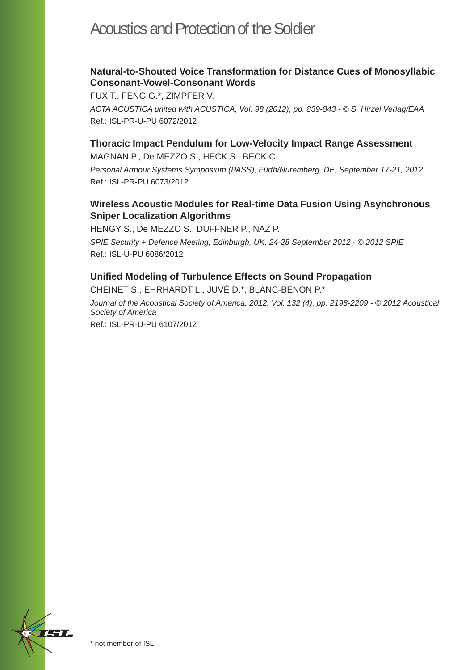## Acoustics and Protection of the Soldier

## **Natural-to-Shouted Voice Transformation for Distance Cues of Monosyllabic Consonant-Vowel-Consonant Words**

FUX T., FENG G.\*, ZIMPFER V.

*ACTA ACUSTICA united with ACUSTICA, Vol. 98 (2012), pp. 839-843 - © S. Hirzel Verlag/EAA* Ref.: ISL-PR-U-PU 6072/2012

#### **Thoracic Impact Pendulum for Low-Velocity Impact Range Assessment**

MAGNAN P., De MEZZO S., HECK S., BECK C.

*Personal Armour Systems Symposium (PASS), Fürth/Nuremberg, DE, September 17-21, 2012*  Ref.: ISL-PR-PU 6073/2012

#### **Wireless Acoustic Modules for Real-time Data Fusion Using Asynchronous Sniper Localization Algorithms**

HENGY S., De MEZZO S., DUFFNER P., NAZ P.

*SPIE Security + Defence Meeting, Edinburgh, UK, 24-28 September 2012 - © 2012 SPIE* Ref.: ISL-U-PU 6086/2012

#### **Unifi ed Modeling of Turbulence Effects on Sound Propagation**

CHEINET S., EHRHARDT L., JUVÉ D.\*, BLANC-BENON P.\*

*Journal of the Acoustical Society of America, 2012, Vol. 132 (4), pp. 2198-2209 - © 2012 Acoustical Society of America*

Ref.: ISL-PR-U-PU 6107/2012

77 T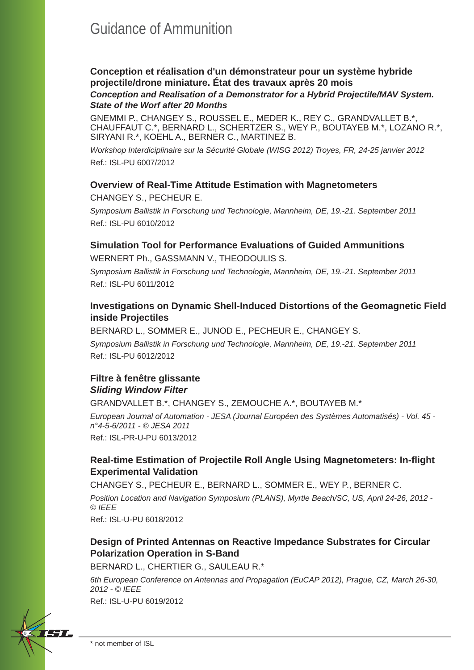## Guidance of Ammunition

## **Conception et réalisation d'un démonstrateur pour un système hybride projectile/drone miniature. État des travaux après 20 mois**

#### *Conception and Realisation of a Demonstrator for a Hybrid Projectile/MAV System. State of the Worf after 20 Months*

GNEMMI P., CHANGEY S., ROUSSEL E., MEDER K., REY C., GRANDVALLET B.\*, CHAUFFAUT C.\*, BERNARD L., SCHERTZER S., WEY P., BOUTAYEB M.\*, LOZANO R.\*, SIRYANI R.\*, KOEHL A., BERNER C., MARTINEZ B.

*Workshop Interdiciplinaire sur la Sécurité Globale (WISG 2012) Troyes, FR, 24-25 janvier 2012* Ref.: ISL-PU 6007/2012

#### **Overview of Real-Time Attitude Estimation with Magnetometers**

CHANGEY S., PECHEUR E.

*Symposium Ballistik in Forschung und Technologie, Mannheim, DE, 19.-21. September 2011* Ref.: ISL-PU 6010/2012

#### **Simulation Tool for Performance Evaluations of Guided Ammunitions**

WERNERT Ph., GASSMANN V., THEODOULIS S.

*Symposium Ballistik in Forschung und Technologie, Mannheim, DE, 19.-21. September 2011* Ref.: ISL-PU 6011/2012

#### **Investigations on Dynamic Shell-Induced Distortions of the Geomagnetic Field inside Projectiles**

BERNARD L., SOMMER E., JUNOD E., PECHEUR E., CHANGEY S. *Symposium Ballistik in Forschung und Technologie, Mannheim, DE, 19.-21. September 2011* Ref.: ISL-PU 6012/2012

## **Filtre à fenêtre glissante** *Sliding Window Filter*

GRANDVALLET B.\*, CHANGEY S., ZEMOUCHE A.\*, BOUTAYEB M.\*

*European Journal of Automation - JESA (Journal Européen des Systèmes Automatisés) - Vol. 45 n°4-5-6/2011 - © JESA 2011* Ref.: ISL-PR-U-PU 6013/2012

#### **Real-time Estimation of Projectile Roll Angle Using Magnetometers: In-fl ight Experimental Validation**

CHANGEY S., PECHEUR E., BERNARD L., SOMMER E., WEY P., BERNER C. *Position Location and Navigation Symposium (PLANS), Myrtle Beach/SC, US, April 24-26, 2012 - © IEEE*

Ref.: ISL-U-PU 6018/2012

## **Design of Printed Antennas on Reactive Impedance Substrates for Circular Polarization Operation in S-Band**

BERNARD L., CHERTIER G., SAULEAU R.\*

*6th European Conference on Antennas and Propagation (EuCAP 2012), Prague, CZ, March 26-30, 2012 - © IEEE*

Ref.: ISL-U-PU 6019/2012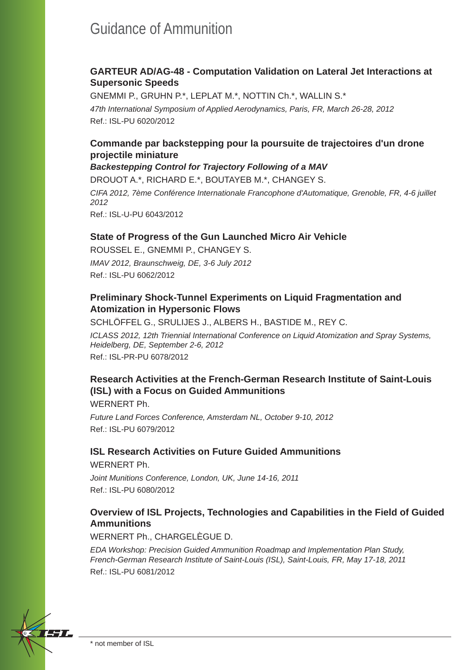## Guidance of Ammunition

#### **GARTEUR AD/AG-48 - Computation Validation on Lateral Jet Interactions at Supersonic Speeds**

GNEMMI P., GRUHN P.\*, LEPLAT M.\*, NOTTIN Ch.\*, WALLIN S.\* *47th International Symposium of Applied Aerodynamics, Paris, FR, March 26-28, 2012* Ref.: ISL-PU 6020/2012

## **Commande par backstepping pour la poursuite de trajectoires d'un drone projectile miniature**

*Backestepping Control for Trajectory Following of a MAV*

DROUOT A.\*, RICHARD E.\*, BOUTAYEB M.\*, CHANGEY S.

*CIFA 2012, 7ème Conférence Internationale Francophone d'Automatique, Grenoble, FR, 4-6 juillet 2012*

Ref.: ISL-U-PU 6043/2012

#### **State of Progress of the Gun Launched Micro Air Vehicle**

ROUSSEL E., GNEMMI P., CHANGEY S. *IMAV 2012, Braunschweig, DE, 3-6 July 2012* Ref.: ISL-PU 6062/2012

### **Preliminary Shock-Tunnel Experiments on Liquid Fragmentation and Atomization in Hypersonic Flows**

SCHLÖFFEL G., SRULIJES J., ALBERS H., BASTIDE M., REY C.

*ICLASS 2012, 12th Triennial International Conference on Liquid Atomization and Spray Systems, Heidelberg, DE, September 2-6, 2012* Ref.: ISL-PR-PU 6078/2012

## **Research Activities at the French-German Research Institute of Saint-Louis (ISL) with a Focus on Guided Ammunitions**

WERNERT Ph.

*Future Land Forces Conference, Amsterdam NL, October 9-10, 2012* Ref.: ISL-PU 6079/2012

## **ISL Research Activities on Future Guided Ammunitions**

WERNERT Ph.

*Joint Munitions Conference, London, UK, June 14-16, 2011* Ref.: ISL-PU 6080/2012

## **Overview of ISL Projects, Technologies and Capabilities in the Field of Guided Ammunitions**

WERNERT Ph., CHARGELÈGUE D.

*EDA Workshop: Precision Guided Ammunition Roadmap and Implementation Plan Study, French-German Research Institute of Saint-Louis (ISL), Saint-Louis, FR, May 17-18, 2011* Ref.: ISL-PU 6081/2012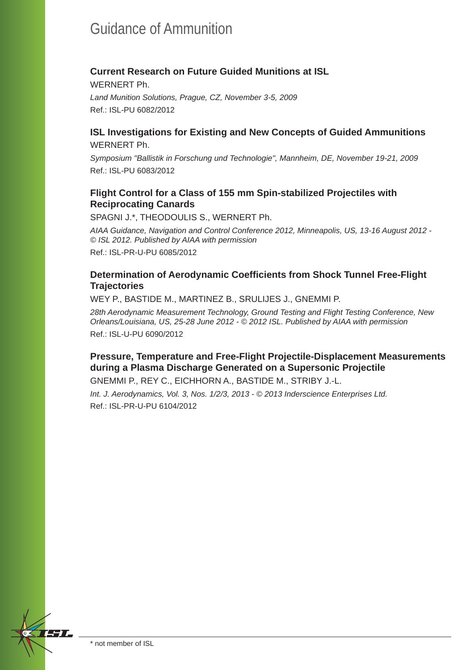# Guidance of Ammunition

## **Current Research on Future Guided Munitions at ISL**

WERNERT Ph. *Land Munition Solutions, Prague, CZ, November 3-5, 2009* Ref.: ISL-PU 6082/2012

#### **ISL Investigations for Existing and New Concepts of Guided Ammunitions** WERNERT Ph.

*Symposium "Ballistik in Forschung und Technologie", Mannheim, DE, November 19-21, 2009* Ref.: ISL-PU 6083/2012

## **Flight Control for a Class of 155 mm Spin-stabilized Projectiles with Reciprocating Canards**

SPAGNI J.\*, THEODOULIS S., WERNERT Ph.

*AIAA Guidance, Navigation and Control Conference 2012, Minneapolis, US, 13-16 August 2012 - © ISL 2012. Published by AIAA with permission* Ref.: ISL-PR-U-PU 6085/2012

## **Determination of Aerodynamic Coefficients from Shock Tunnel Free-Flight Trajectories**

WEY P., BASTIDE M., MARTINEZ B., SRULIJES J., GNEMMI P.

*28th Aerodynamic Measurement Technology, Ground Testing and Flight Testing Conference, New Orleans/Louisiana, US, 25-28 June 2012 - © 2012 ISL. Published by AIAA with permission* Ref.: ISL-U-PU 6090/2012

## **Pressure, Temperature and Free-Flight Projectile-Displacement Measurements during a Plasma Discharge Generated on a Supersonic Projectile**

GNEMMI P., REY C., EICHHORN A., BASTIDE M., STRIBY J.-L.

*Int. J. Aerodynamics, Vol. 3, Nos. 1/2/3, 2013 - © 2013 Inderscience Enterprises Ltd.* Ref.: ISL-PR-U-PU 6104/2012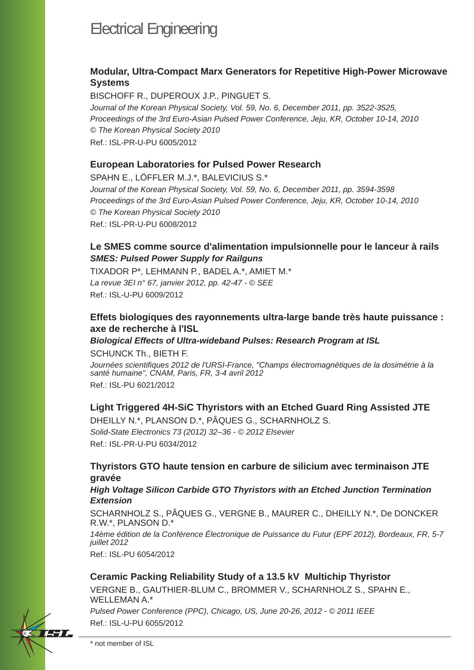## **Modular, Ultra-Compact Marx Generators for Repetitive High-Power Microwave Systems**

BISCHOFF R., DUPEROUX J.P., PINGUET S. *Journal of the Korean Physical Society, Vol. 59, No. 6, December 2011, pp. 3522-3525, Proceedings of the 3rd Euro-Asian Pulsed Power Conference, Jeju, KR, October 10-14, 2010 © The Korean Physical Society 2010* Ref.: ISL-PR-U-PU 6005/2012

#### **European Laboratories for Pulsed Power Research**

SPAHN E., LÖFFLER M.J.\*, BALEVICIUS S.\* *Journal of the Korean Physical Society, Vol. 59, No. 6, December 2011, pp. 3594-3598 Proceedings of the 3rd Euro-Asian Pulsed Power Conference, Jeju, KR, October 10-14, 2010 © The Korean Physical Society 2010* Ref.: ISL-PR-U-PU 6008/2012

## **Le SMES comme source d'alimentation impulsionnelle pour le lanceur à rails** *SMES: Pulsed Power Supply for Railguns*

TIXADOR P\*, LEHMANN P., BADEL A.\*, AMIET M.\* *La revue 3EI n° 67, janvier 2012, pp. 42-47 - © SEE* Ref.: ISL-U-PU 6009/2012

#### **Effets biologiques des rayonnements ultra-large bande très haute puissance : axe de recherche à l'ISL**

*Biological Effects of Ultra-wideband Pulses: Research Program at ISL*

SCHUNCK Th., BIETH F.

*Journées scientifi ques 2012 de l'URSI-France, "Champs électromagnétiques de la dosimétrie à la santé humaine", CNAM, Paris, FR, 3-4 avril 2012* Ref.: ISL-PU 6021/2012

## **Light Triggered 4H-SiC Thyristors with an Etched Guard Ring Assisted JTE**

DHEILLY N.\*, PLANSON D.\*, PÂQUES G., SCHARNHOLZ S. *Solid-State Electronics 73 (2012) 32–36 - © 2012 Elsevier* Ref.: ISL-PR-U-PU 6034/2012

#### **Thyristors GTO haute tension en carbure de silicium avec terminaison JTE gravée**

#### *High Voltage Silicon Carbide GTO Thyristors with an Etched Junction Termination Extension*

SCHARNHOLZ S., PÂQUES G., VERGNE B., MAURER C., DHEILLY N.\*, De DONCKER R.W.\*, PLANSON D.\*

*14ème édition de la Conférence Électronique de Puissance du Futur (EPF 2012), Bordeaux, FR, 5-7 juillet 2012*

Ref.: ISL-PU 6054/2012

#### **Ceramic Packing Reliability Study of a 13.5 kV Multichip Thyristor**

VERGNE B., GAUTHIER-BLUM C., BROMMER V., SCHARNHOLZ S., SPAHN E., WELLEMAN A.\*

*Pulsed Power Conference (PPC), Chicago, US, June 20-26, 2012 - © 2011 IEEE* Ref.: ISL-U-PU 6055/2012

\* not member of ISL

EST P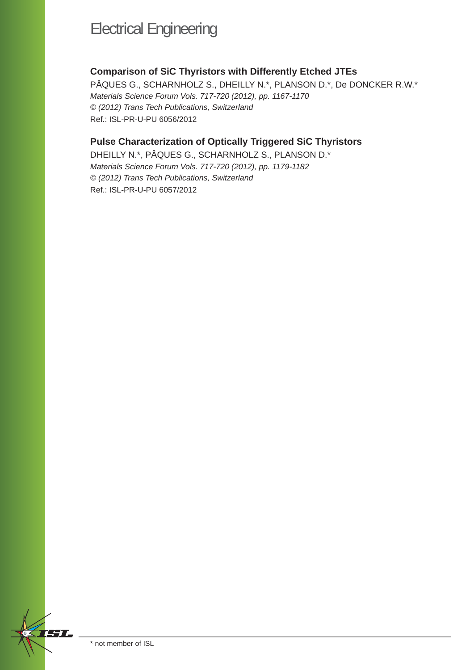## **Comparison of SiC Thyristors with Differently Etched JTEs**

PÂQUES G., SCHARNHOLZ S., DHEILLY N.\*, PLANSON D.\*, De DONCKER R.W.\* *Materials Science Forum Vols. 717-720 (2012), pp. 1167-1170 © (2012) Trans Tech Publications, Switzerland* Ref.: ISL-PR-U-PU 6056/2012

## **Pulse Characterization of Optically Triggered SiC Thyristors**

DHEILLY N.\*, PÂQUES G., SCHARNHOLZ S., PLANSON D.\* *Materials Science Forum Vols. 717-720 (2012), pp. 1179-1182 © (2012) Trans Tech Publications, Switzerland* Ref.: ISL-PR-U-PU 6057/2012

77 T